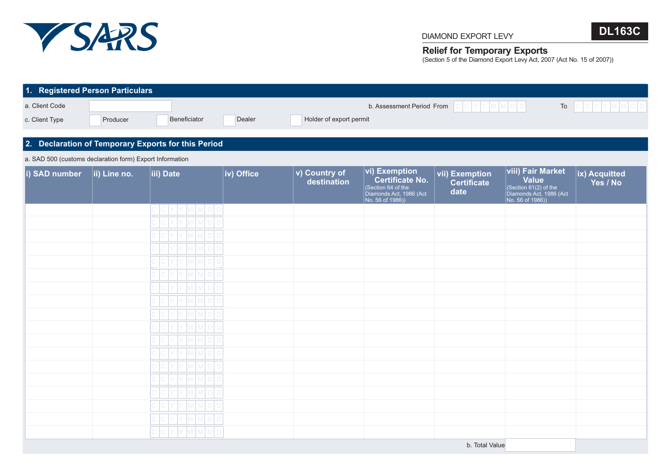

## **Relief for Temporary Exports**

(Section 5 of the Diamond Export Levy Act, 2007 (Act No. 15 of 2007))

**DL163C**

| 1. Registered Person Particulars                         |                      |                                                     |            |                              |                                                                                                                     |                                              |                                                                                                                         |                           |
|----------------------------------------------------------|----------------------|-----------------------------------------------------|------------|------------------------------|---------------------------------------------------------------------------------------------------------------------|----------------------------------------------|-------------------------------------------------------------------------------------------------------------------------|---------------------------|
| a. Client Code<br>c. Client Type                         | Producer             | Beneficiator                                        | Dealer     | Holder of export permit      | b. Assessment Period From                                                                                           | $C C V Y M M D D$                            | To                                                                                                                      | $C  C Y Y M M D D $       |
|                                                          |                      | 2. Declaration of Temporary Exports for this Period |            |                              |                                                                                                                     |                                              |                                                                                                                         |                           |
| a. SAD 500 (customs declaration form) Export Information |                      |                                                     |            |                              |                                                                                                                     |                                              |                                                                                                                         |                           |
| i) SAD number                                            | $\vert$ ii) Line no. | iii) Date                                           | iv) Office | v) Country of<br>destination | <b>vi) Exemption</b><br><b>Certificate No.</b><br>(Section 64 of the<br>Diamonds Act, 1986 (Act<br>No. 56 of 1986)) | vii) Exemption<br><b>Certificate</b><br>date | <b>viii) Fair Market</b><br><b>Value</b><br>$\vert$ (Section 61(2) of the<br>Diamonds Act, 1986 (Act<br>No. 56 of 1986) | ix) Acquitted<br>Yes / No |
|                                                          |                      | Y M M D C                                           |            |                              |                                                                                                                     |                                              |                                                                                                                         |                           |
|                                                          |                      |                                                     |            |                              |                                                                                                                     |                                              |                                                                                                                         |                           |
|                                                          |                      |                                                     |            |                              |                                                                                                                     |                                              |                                                                                                                         |                           |
|                                                          |                      |                                                     |            |                              |                                                                                                                     |                                              |                                                                                                                         |                           |
|                                                          |                      |                                                     |            |                              |                                                                                                                     |                                              |                                                                                                                         |                           |
|                                                          |                      |                                                     |            |                              |                                                                                                                     |                                              |                                                                                                                         |                           |
|                                                          |                      |                                                     |            |                              |                                                                                                                     |                                              |                                                                                                                         |                           |
|                                                          |                      |                                                     |            |                              |                                                                                                                     |                                              |                                                                                                                         |                           |
|                                                          |                      |                                                     |            |                              |                                                                                                                     |                                              |                                                                                                                         |                           |
|                                                          |                      |                                                     |            |                              |                                                                                                                     |                                              |                                                                                                                         |                           |
|                                                          |                      |                                                     |            |                              |                                                                                                                     |                                              |                                                                                                                         |                           |
|                                                          |                      |                                                     |            |                              |                                                                                                                     |                                              |                                                                                                                         |                           |
|                                                          |                      |                                                     |            |                              |                                                                                                                     |                                              |                                                                                                                         |                           |
|                                                          |                      |                                                     |            |                              |                                                                                                                     |                                              |                                                                                                                         |                           |
|                                                          |                      |                                                     |            |                              |                                                                                                                     |                                              |                                                                                                                         |                           |
|                                                          |                      | MMDD                                                |            |                              |                                                                                                                     |                                              |                                                                                                                         |                           |
|                                                          |                      |                                                     |            |                              |                                                                                                                     | b. Total Value                               |                                                                                                                         |                           |